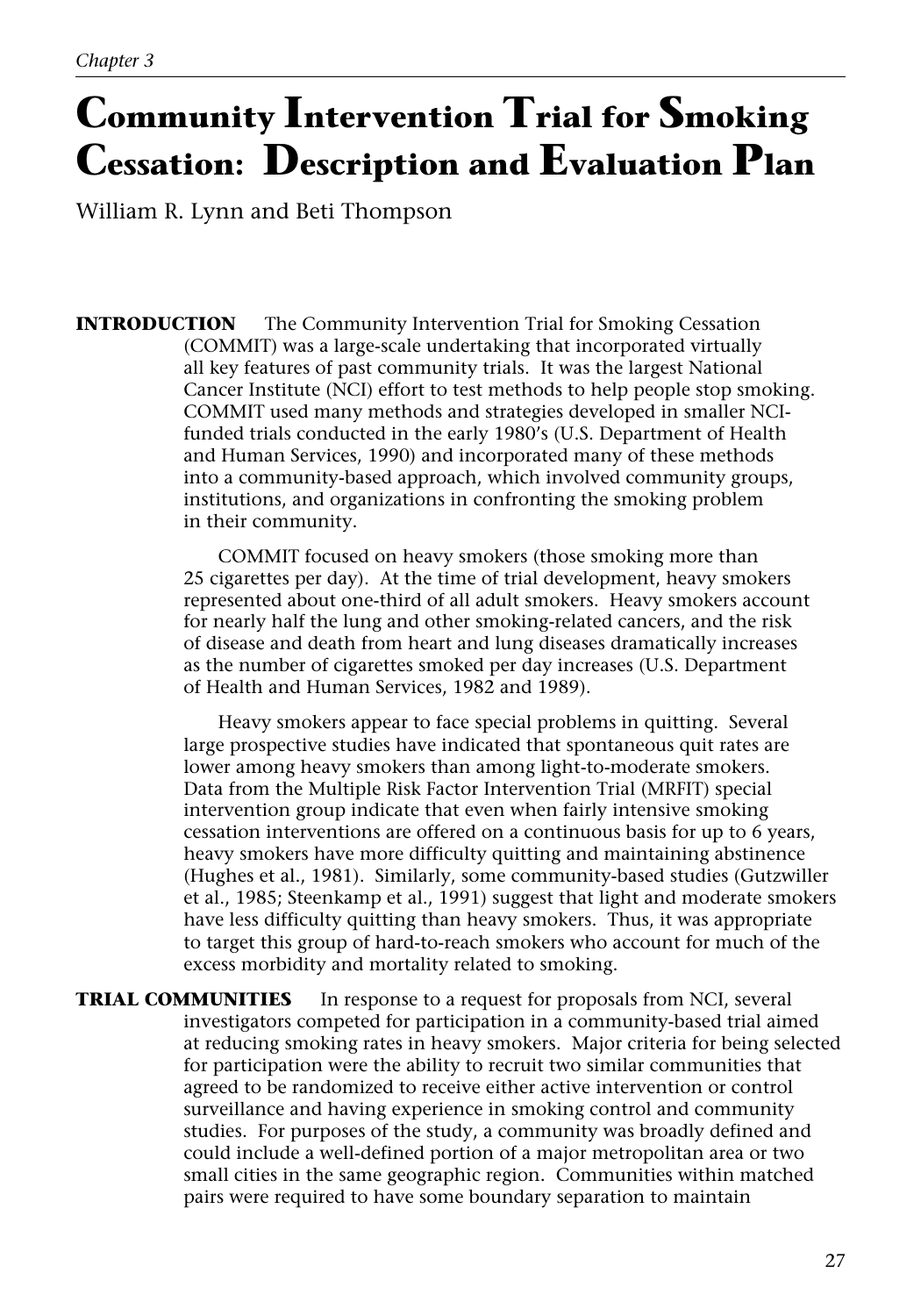# **Community Intervention Trial for Smoking Cessation: Description and Evaluation Plan**

William R. Lynn and Beti Thompson

**INTRODUCTION** The Community Intervention Trial for Smoking Cessation (COMMIT) was a large-scale undertaking that incorporated virtually all key features of past community trials. It was the largest National Cancer Institute (NCI) effort to test methods to help people stop smoking. COMMIT used many methods and strategies developed in smaller NCIfunded trials conducted in the early 1980's (U.S. Department of Health and Human Services, 1990) and incorporated many of these methods into a community-based approach, which involved community groups, institutions, and organizations in confronting the smoking problem in their community.

> COMMIT focused on heavy smokers (those smoking more than 25 cigarettes per day). At the time of trial development, heavy smokers represented about one-third of all adult smokers. Heavy smokers account for nearly half the lung and other smoking-related cancers, and the risk of disease and death from heart and lung diseases dramatically increases as the number of cigarettes smoked per day increases (U.S. Department of Health and Human Services, 1982 and 1989).

Heavy smokers appear to face special problems in quitting. Several large prospective studies have indicated that spontaneous quit rates are lower among heavy smokers than among light-to-moderate smokers. Data from the Multiple Risk Factor Intervention Trial (MRFIT) special intervention group indicate that even when fairly intensive smoking cessation interventions are offered on a continuous basis for up to 6 years, heavy smokers have more difficulty quitting and maintaining abstinence (Hughes et al., 1981). Similarly, some community-based studies (Gutzwiller et al., 1985; Steenkamp et al., 1991) suggest that light and moderate smokers have less difficulty quitting than heavy smokers. Thus, it was appropriate to target this group of hard-to-reach smokers who account for much of the excess morbidity and mortality related to smoking.

**TRIAL COMMUNITIES** In response to a request for proposals from NCI, several investigators competed for participation in a community-based trial aimed at reducing smoking rates in heavy smokers. Major criteria for being selected for participation were the ability to recruit two similar communities that agreed to be randomized to receive either active intervention or control surveillance and having experience in smoking control and community studies. For purposes of the study, a community was broadly defined and could include a well-defined portion of a major metropolitan area or two small cities in the same geographic region. Communities within matched pairs were required to have some boundary separation to maintain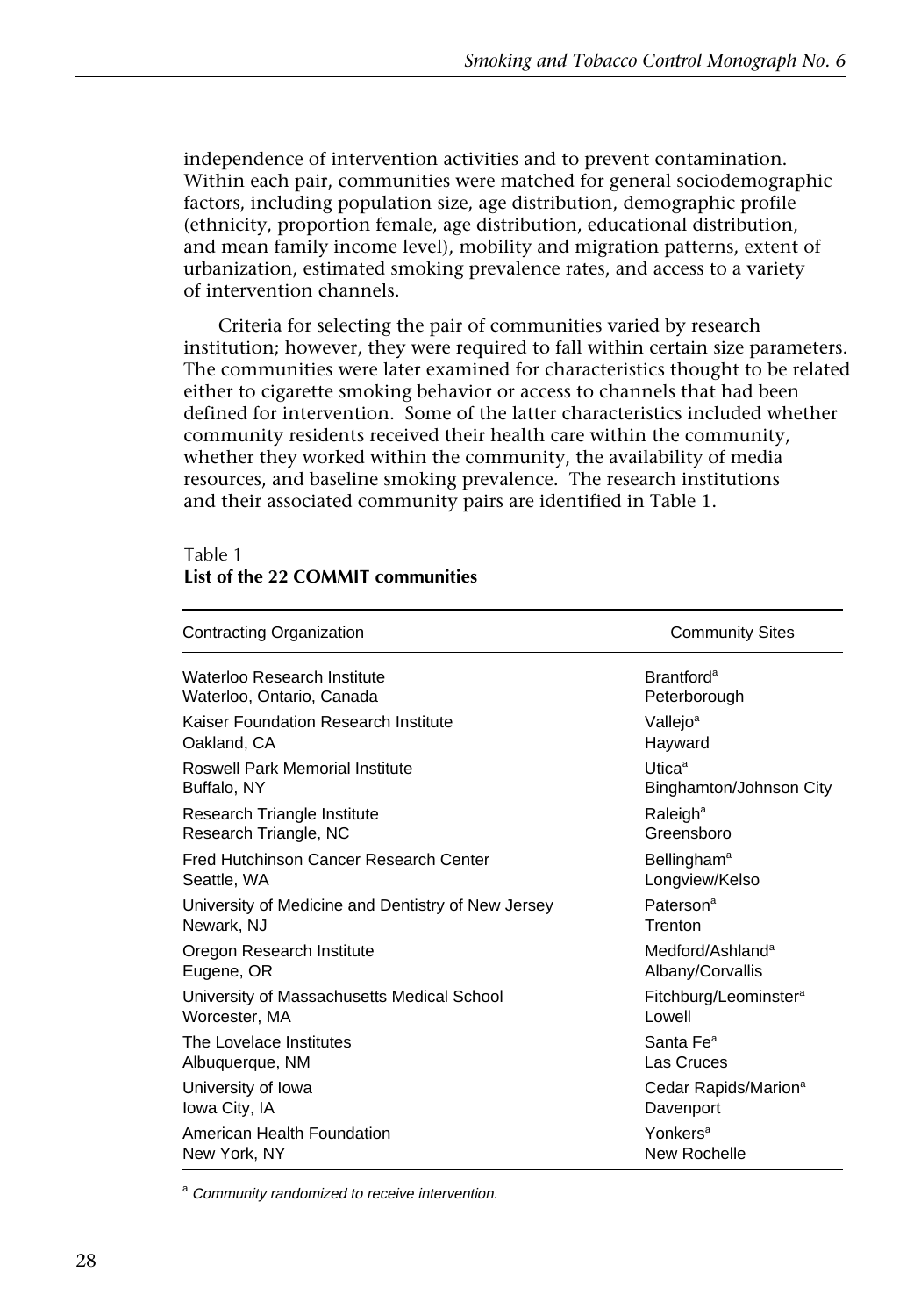independence of intervention activities and to prevent contamination. Within each pair, communities were matched for general sociodemographic factors, including population size, age distribution, demographic profile (ethnicity, proportion female, age distribution, educational distribution, and mean family income level), mobility and migration patterns, extent of urbanization, estimated smoking prevalence rates, and access to a variety of intervention channels.

Criteria for selecting the pair of communities varied by research institution; however, they were required to fall within certain size parameters. The communities were later examined for characteristics thought to be related either to cigarette smoking behavior or access to channels that had been defined for intervention. Some of the latter characteristics included whether community residents received their health care within the community, whether they worked within the community, the availability of media resources, and baseline smoking prevalence. The research institutions and their associated community pairs are identified in Table 1.

#### Table 1 **List of the 22 COMMIT communities**

| Contracting Organization                           | <b>Community Sites</b>            |
|----------------------------------------------------|-----------------------------------|
| Waterloo Research Institute                        | <b>Brantford<sup>a</sup></b>      |
| Waterloo, Ontario, Canada                          | Peterborough                      |
| Kaiser Foundation Research Institute               | Vallejo <sup>a</sup>              |
| Oakland, CA                                        | Hayward                           |
| <b>Roswell Park Memorial Institute</b>             | Utica <sup>a</sup>                |
| Buffalo, NY                                        | Binghamton/Johnson City           |
| Research Triangle Institute                        | Raleigh <sup>a</sup>              |
| Research Triangle, NC                              | Greensboro                        |
| Fred Hutchinson Cancer Research Center             | <b>Bellingham<sup>a</sup></b>     |
| Seattle, WA                                        | Longview/Kelso                    |
| University of Medicine and Dentistry of New Jersey | Paterson <sup>a</sup>             |
| Newark, NJ                                         | Trenton                           |
| Oregon Research Institute                          | Medford/Ashland <sup>a</sup>      |
| Eugene, OR                                         | Albany/Corvallis                  |
| University of Massachusetts Medical School         | Fitchburg/Leominster <sup>a</sup> |
| Worcester, MA                                      | Lowell                            |
| The Lovelace Institutes                            | Santa Fe <sup>a</sup>             |
| Albuquerque, NM                                    | Las Cruces                        |
| University of Iowa                                 | Cedar Rapids/Marion <sup>a</sup>  |
| Iowa City, IA                                      | Davenport                         |
| American Health Foundation                         | Yonkers <sup>a</sup>              |
| New York, NY                                       | New Rochelle                      |

<sup>a</sup> Community randomized to receive intervention.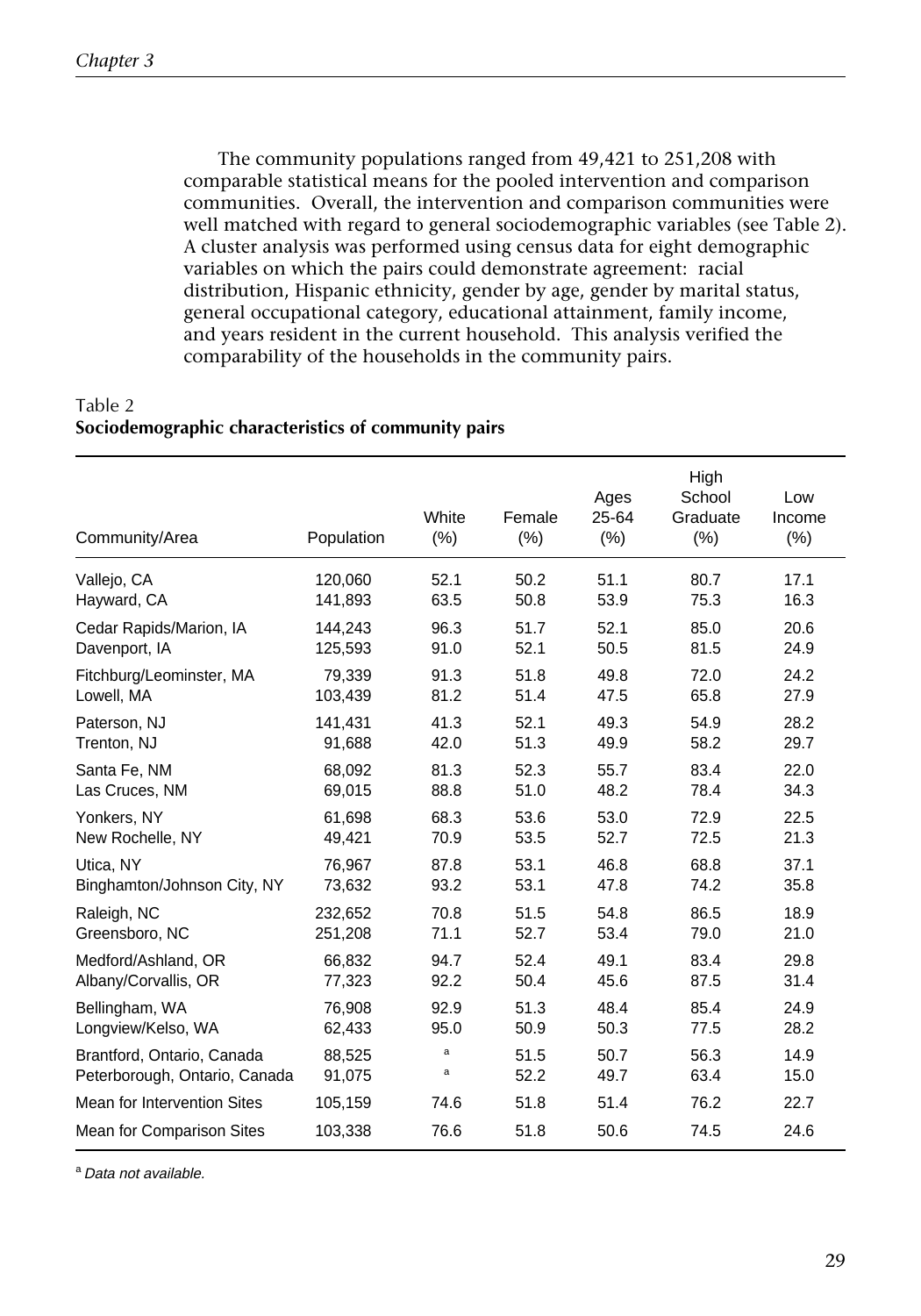The community populations ranged from 49,421 to 251,208 with comparable statistical means for the pooled intervention and comparison communities. Overall, the intervention and comparison communities were well matched with regard to general sociodemographic variables (see Table 2). A cluster analysis was performed using census data for eight demographic variables on which the pairs could demonstrate agreement: racial distribution, Hispanic ethnicity, gender by age, gender by marital status, general occupational category, educational attainment, family income, and years resident in the current household. This analysis verified the comparability of the households in the community pairs.

## Table 2 **Sociodemographic characteristics of community pairs**

| Community/Area                | Population | White<br>(%) | Female<br>(% ) | Ages<br>25-64<br>(% ) | High<br>School<br>Graduate<br>(% ) | Low<br>Income<br>(% ) |
|-------------------------------|------------|--------------|----------------|-----------------------|------------------------------------|-----------------------|
| Vallejo, CA                   | 120,060    | 52.1         | 50.2           | 51.1                  | 80.7                               | 17.1                  |
| Hayward, CA                   | 141,893    | 63.5         | 50.8           | 53.9                  | 75.3                               | 16.3                  |
| Cedar Rapids/Marion, IA       | 144,243    | 96.3         | 51.7           | 52.1                  | 85.0                               | 20.6                  |
| Davenport, IA                 | 125,593    | 91.0         | 52.1           | 50.5                  | 81.5                               | 24.9                  |
| Fitchburg/Leominster, MA      | 79,339     | 91.3         | 51.8           | 49.8                  | 72.0                               | 24.2                  |
| Lowell, MA                    | 103,439    | 81.2         | 51.4           | 47.5                  | 65.8                               | 27.9                  |
| Paterson, NJ                  | 141,431    | 41.3         | 52.1           | 49.3                  | 54.9                               | 28.2                  |
| Trenton, NJ                   | 91,688     | 42.0         | 51.3           | 49.9                  | 58.2                               | 29.7                  |
| Santa Fe, NM                  | 68,092     | 81.3         | 52.3           | 55.7                  | 83.4                               | 22.0                  |
| Las Cruces, NM                | 69,015     | 88.8         | 51.0           | 48.2                  | 78.4                               | 34.3                  |
| Yonkers, NY                   | 61.698     | 68.3         | 53.6           | 53.0                  | 72.9                               | 22.5                  |
| New Rochelle, NY              | 49,421     | 70.9         | 53.5           | 52.7                  | 72.5                               | 21.3                  |
| Utica, NY                     | 76.967     | 87.8         | 53.1           | 46.8                  | 68.8                               | 37.1                  |
| Binghamton/Johnson City, NY   | 73,632     | 93.2         | 53.1           | 47.8                  | 74.2                               | 35.8                  |
| Raleigh, NC                   | 232.652    | 70.8         | 51.5           | 54.8                  | 86.5                               | 18.9                  |
| Greensboro, NC                | 251,208    | 71.1         | 52.7           | 53.4                  | 79.0                               | 21.0                  |
| Medford/Ashland, OR           | 66.832     | 94.7         | 52.4           | 49.1                  | 83.4                               | 29.8                  |
| Albany/Corvallis, OR          | 77,323     | 92.2         | 50.4           | 45.6                  | 87.5                               | 31.4                  |
| Bellingham, WA                | 76,908     | 92.9         | 51.3           | 48.4                  | 85.4                               | 24.9                  |
| Longview/Kelso, WA            | 62,433     | 95.0         | 50.9           | 50.3                  | 77.5                               | 28.2                  |
| Brantford, Ontario, Canada    | 88,525     | a            | 51.5           | 50.7                  | 56.3                               | 14.9                  |
| Peterborough, Ontario, Canada | 91,075     | a            | 52.2           | 49.7                  | 63.4                               | 15.0                  |
| Mean for Intervention Sites   | 105,159    | 74.6         | 51.8           | 51.4                  | 76.2                               | 22.7                  |
| Mean for Comparison Sites     | 103,338    | 76.6         | 51.8           | 50.6                  | 74.5                               | 24.6                  |

<sup>a</sup> Data not available.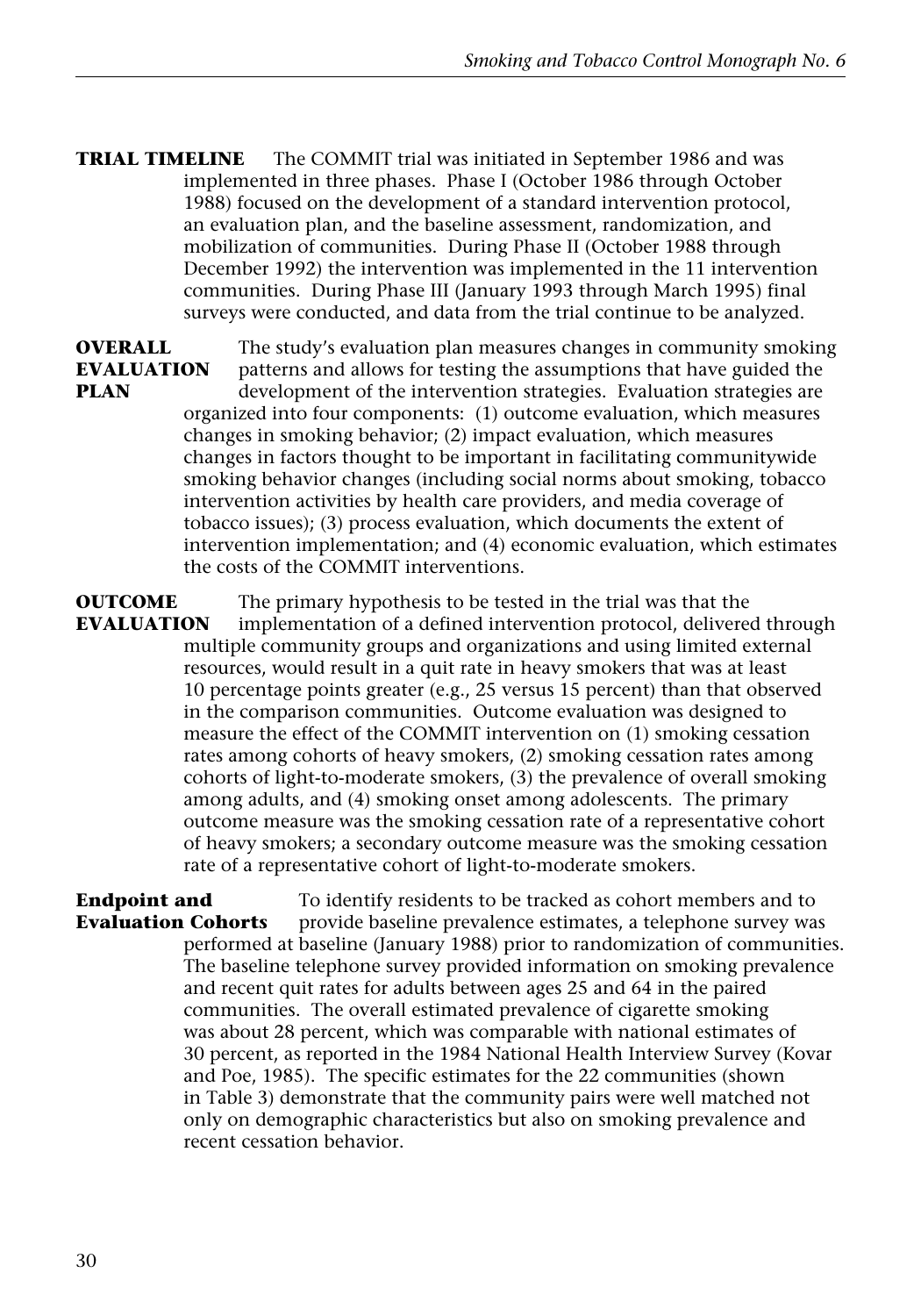**TRIAL TIMELINE** The COMMIT trial was initiated in September 1986 and was implemented in three phases. Phase I (October 1986 through October 1988) focused on the development of a standard intervention protocol, an evaluation plan, and the baseline assessment, randomization, and mobilization of communities. During Phase II (October 1988 through December 1992) the intervention was implemented in the 11 intervention communities. During Phase III (January 1993 through March 1995) final surveys were conducted, and data from the trial continue to be analyzed.

**OVERALL** The study's evaluation plan measures changes in community smoking **EVALUATION** patterns and allows for testing the assumptions that have guided the **PLAN** development of the intervention strategies. Evaluation strategies are organized into four components: (1) outcome evaluation, which measures changes in smoking behavior; (2) impact evaluation, which measures changes in factors thought to be important in facilitating communitywide smoking behavior changes (including social norms about smoking, tobacco intervention activities by health care providers, and media coverage of tobacco issues); (3) process evaluation, which documents the extent of intervention implementation; and (4) economic evaluation, which estimates the costs of the COMMIT interventions.

**OUTCOME** The primary hypothesis to be tested in the trial was that the **EVALUATION** implementation of a defined intervention protocol, delivered through multiple community groups and organizations and using limited external resources, would result in a quit rate in heavy smokers that was at least 10 percentage points greater (e.g., 25 versus 15 percent) than that observed in the comparison communities. Outcome evaluation was designed to measure the effect of the COMMIT intervention on (1) smoking cessation rates among cohorts of heavy smokers, (2) smoking cessation rates among cohorts of light-to-moderate smokers, (3) the prevalence of overall smoking among adults, and (4) smoking onset among adolescents. The primary outcome measure was the smoking cessation rate of a representative cohort of heavy smokers; a secondary outcome measure was the smoking cessation rate of a representative cohort of light-to-moderate smokers.

**Endpoint and** To identify residents to be tracked as cohort members and to **Evaluation Cohorts** provide baseline prevalence estimates, a telephone survey was performed at baseline (January 1988) prior to randomization of communities. The baseline telephone survey provided information on smoking prevalence and recent quit rates for adults between ages 25 and 64 in the paired communities. The overall estimated prevalence of cigarette smoking was about 28 percent, which was comparable with national estimates of 30 percent, as reported in the 1984 National Health Interview Survey (Kovar and Poe, 1985). The specific estimates for the 22 communities (shown in Table 3) demonstrate that the community pairs were well matched not only on demographic characteristics but also on smoking prevalence and recent cessation behavior.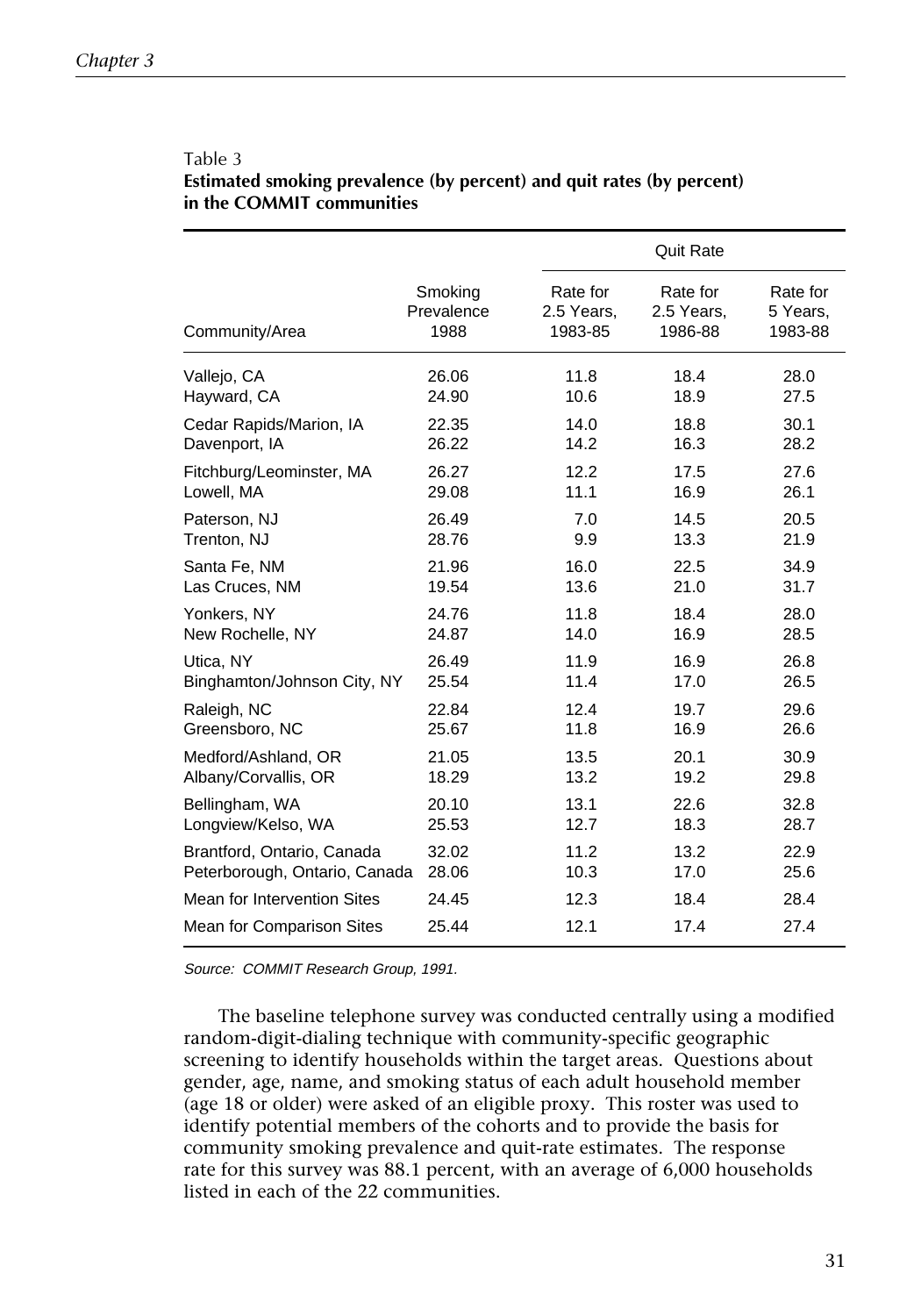|                               |            | <b>Quit Rate</b> |            |          |  |
|-------------------------------|------------|------------------|------------|----------|--|
| Community/Area                | Smoking    | Rate for         | Rate for   | Rate for |  |
|                               | Prevalence | 2.5 Years,       | 2.5 Years, | 5 Years, |  |
|                               | 1988       | 1983-85          | 1986-88    | 1983-88  |  |
| Vallejo, CA                   | 26.06      | 11.8             | 18.4       | 28.0     |  |
| Hayward, CA                   | 24.90      | 10.6             | 18.9       | 27.5     |  |
| Cedar Rapids/Marion, IA       | 22.35      | 14.0             | 18.8       | 30.1     |  |
| Davenport, IA                 | 26.22      | 14.2             | 16.3       | 28.2     |  |
| Fitchburg/Leominster, MA      | 26.27      | 12.2             | 17.5       | 27.6     |  |
| Lowell, MA                    | 29.08      | 11.1             | 16.9       | 26.1     |  |
| Paterson, NJ                  | 26.49      | 7.0              | 14.5       | 20.5     |  |
| Trenton, NJ                   | 28.76      | 9.9              | 13.3       | 21.9     |  |
| Santa Fe, NM                  | 21.96      | 16.0             | 22.5       | 34.9     |  |
| Las Cruces, NM                | 19.54      | 13.6             | 21.0       | 31.7     |  |
| Yonkers, NY                   | 24.76      | 11.8             | 18.4       | 28.0     |  |
| New Rochelle, NY              | 24.87      | 14.0             | 16.9       | 28.5     |  |
| Utica, NY                     | 26.49      | 11.9             | 16.9       | 26.8     |  |
| Binghamton/Johnson City, NY   | 25.54      | 11.4             | 17.0       | 26.5     |  |
| Raleigh, NC                   | 22.84      | 12.4             | 19.7       | 29.6     |  |
| Greensboro, NC                | 25.67      | 11.8             | 16.9       | 26.6     |  |
| Medford/Ashland, OR           | 21.05      | 13.5             | 20.1       | 30.9     |  |
| Albany/Corvallis, OR          | 18.29      | 13.2             | 19.2       | 29.8     |  |
| Bellingham, WA                | 20.10      | 13.1             | 22.6       | 32.8     |  |
| Longview/Kelso, WA            | 25.53      | 12.7             | 18.3       | 28.7     |  |
| Brantford, Ontario, Canada    | 32.02      | 11.2             | 13.2       | 22.9     |  |
| Peterborough, Ontario, Canada | 28.06      | 10.3             | 17.0       | 25.6     |  |
| Mean for Intervention Sites   | 24.45      | 12.3             | 18.4       | 28.4     |  |
| Mean for Comparison Sites     | 25.44      | 12.1             | 17.4       | 27.4     |  |

#### Table 3 **Estimated smoking prevalence (by percent) and quit rates (by percent) in the COMMIT communities**

Source: COMMIT Research Group, 1991.

The baseline telephone survey was conducted centrally using a modified random-digit-dialing technique with community-specific geographic screening to identify households within the target areas. Questions about gender, age, name, and smoking status of each adult household member (age 18 or older) were asked of an eligible proxy. This roster was used to identify potential members of the cohorts and to provide the basis for community smoking prevalence and quit-rate estimates. The response rate for this survey was 88.1 percent, with an average of 6,000 households listed in each of the 22 communities.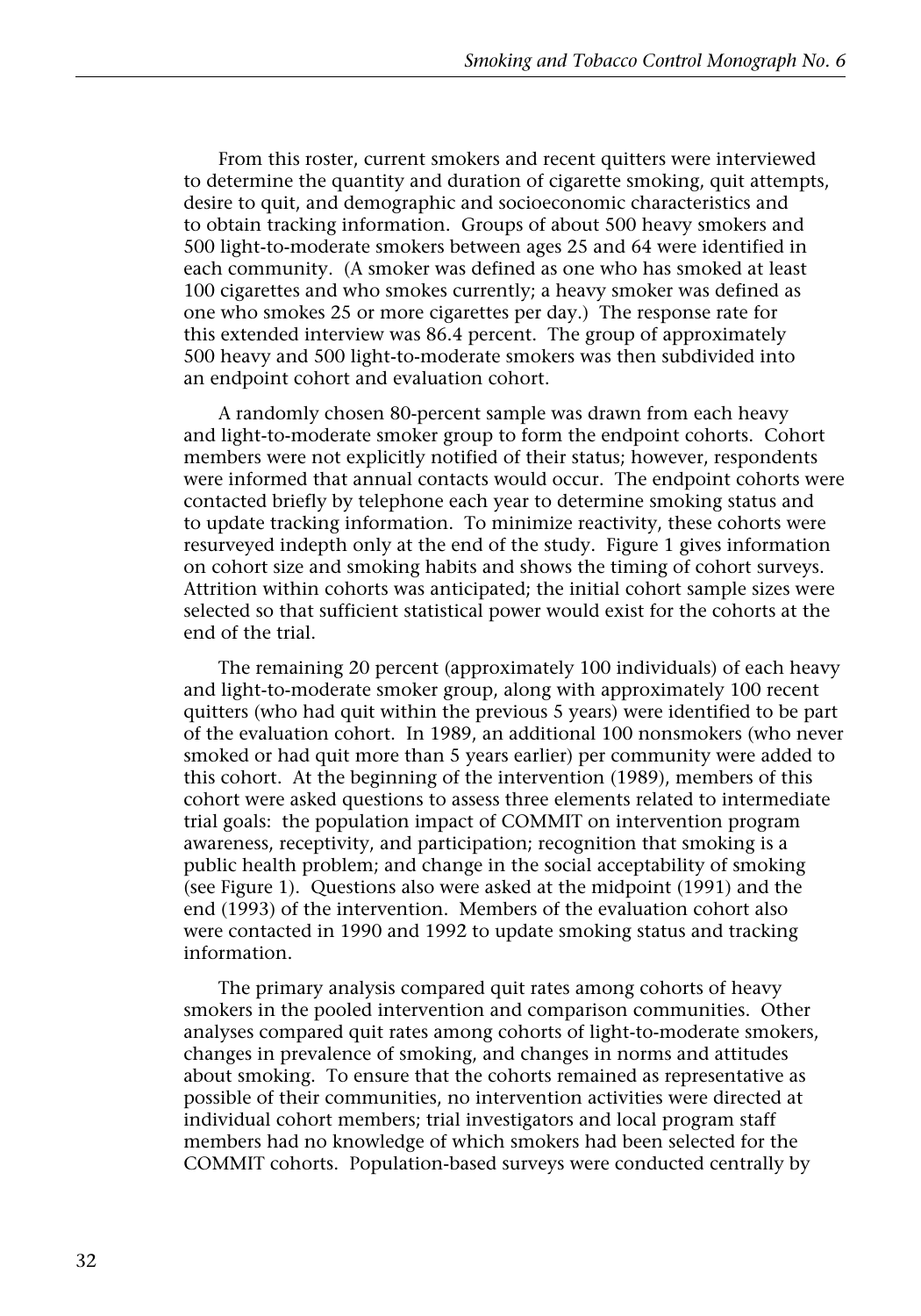From this roster, current smokers and recent quitters were interviewed to determine the quantity and duration of cigarette smoking, quit attempts, desire to quit, and demographic and socioeconomic characteristics and to obtain tracking information. Groups of about 500 heavy smokers and 500 light-to-moderate smokers between ages 25 and 64 were identified in each community. (A smoker was defined as one who has smoked at least 100 cigarettes and who smokes currently; a heavy smoker was defined as one who smokes 25 or more cigarettes per day.) The response rate for this extended interview was 86.4 percent. The group of approximately 500 heavy and 500 light-to-moderate smokers was then subdivided into an endpoint cohort and evaluation cohort.

A randomly chosen 80-percent sample was drawn from each heavy and light-to-moderate smoker group to form the endpoint cohorts. Cohort members were not explicitly notified of their status; however, respondents were informed that annual contacts would occur. The endpoint cohorts were contacted briefly by telephone each year to determine smoking status and to update tracking information. To minimize reactivity, these cohorts were resurveyed indepth only at the end of the study. Figure 1 gives information on cohort size and smoking habits and shows the timing of cohort surveys. Attrition within cohorts was anticipated; the initial cohort sample sizes were selected so that sufficient statistical power would exist for the cohorts at the end of the trial.

The remaining 20 percent (approximately 100 individuals) of each heavy and light-to-moderate smoker group, along with approximately 100 recent quitters (who had quit within the previous 5 years) were identified to be part of the evaluation cohort. In 1989, an additional 100 nonsmokers (who never smoked or had quit more than 5 years earlier) per community were added to this cohort. At the beginning of the intervention (1989), members of this cohort were asked questions to assess three elements related to intermediate trial goals: the population impact of COMMIT on intervention program awareness, receptivity, and participation; recognition that smoking is a public health problem; and change in the social acceptability of smoking (see Figure 1). Questions also were asked at the midpoint (1991) and the end (1993) of the intervention. Members of the evaluation cohort also were contacted in 1990 and 1992 to update smoking status and tracking information.

The primary analysis compared quit rates among cohorts of heavy smokers in the pooled intervention and comparison communities. Other analyses compared quit rates among cohorts of light-to-moderate smokers, changes in prevalence of smoking, and changes in norms and attitudes about smoking. To ensure that the cohorts remained as representative as possible of their communities, no intervention activities were directed at individual cohort members; trial investigators and local program staff members had no knowledge of which smokers had been selected for the COMMIT cohorts. Population-based surveys were conducted centrally by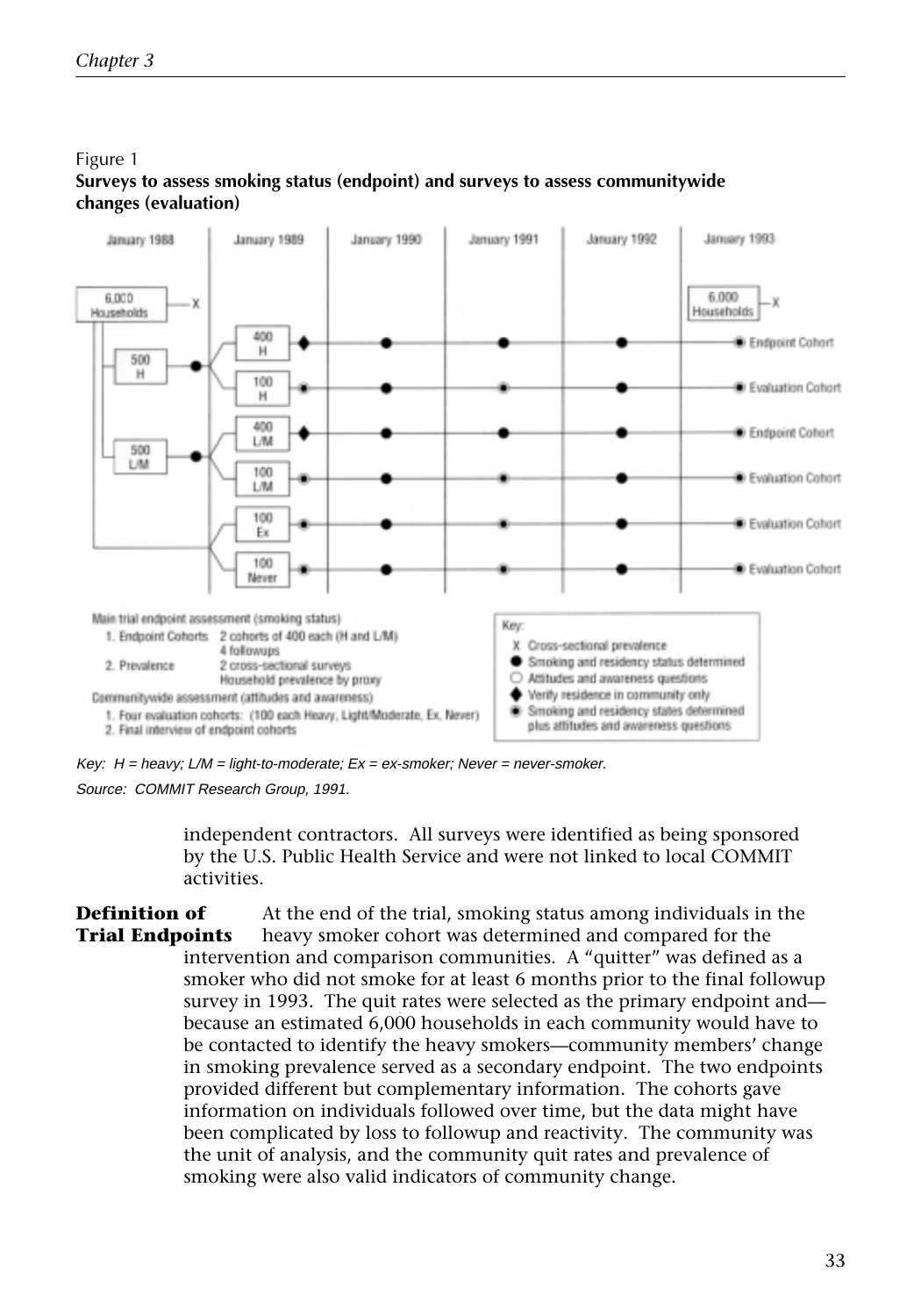

#### Figure 1 **Surveys to assess smoking status (endpoint) and surveys to assess communitywide changes (evaluation)**

Key:  $H =$  heavy;  $LM =$  light-to-moderate;  $Ex =$  ex-smoker; Never = never-smoker.

Source: COMMIT Research Group, 1991.

2. Final interview of endpoint cohorts

independent contractors. All surveys were identified as being sponsored by the U.S. Public Health Service and were not linked to local COMMIT activities.

plus attitudes and awareness questions

**Definition of** At the end of the trial, smoking status among individuals in the **Trial Endpoints** heavy smoker cohort was determined and compared for the intervention and comparison communities. A "quitter" was defined as a smoker who did not smoke for at least 6 months prior to the final followup survey in 1993. The quit rates were selected as the primary endpoint and because an estimated 6,000 households in each community would have to be contacted to identify the heavy smokers—community members' change in smoking prevalence served as a secondary endpoint. The two endpoints provided different but complementary information. The cohorts gave information on individuals followed over time, but the data might have been complicated by loss to followup and reactivity. The community was the unit of analysis, and the community quit rates and prevalence of smoking were also valid indicators of community change.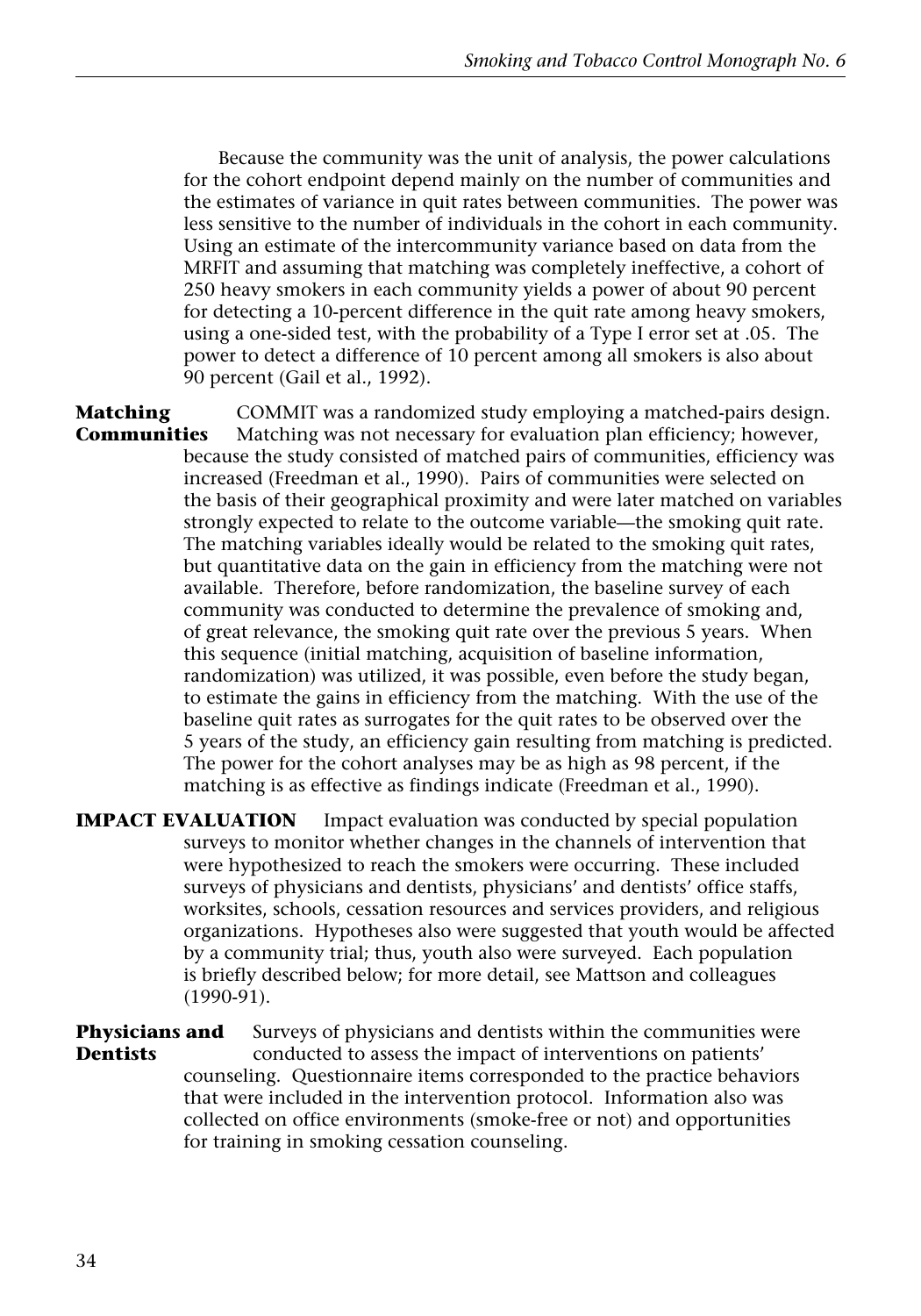Because the community was the unit of analysis, the power calculations for the cohort endpoint depend mainly on the number of communities and the estimates of variance in quit rates between communities. The power was less sensitive to the number of individuals in the cohort in each community. Using an estimate of the intercommunity variance based on data from the MRFIT and assuming that matching was completely ineffective, a cohort of 250 heavy smokers in each community yields a power of about 90 percent for detecting a 10-percent difference in the quit rate among heavy smokers, using a one-sided test, with the probability of a Type I error set at .05. The power to detect a difference of 10 percent among all smokers is also about 90 percent (Gail et al., 1992).

**Matching** COMMIT was a randomized study employing a matched-pairs design. **Communities** Matching was not necessary for evaluation plan efficiency; however, because the study consisted of matched pairs of communities, efficiency was increased (Freedman et al., 1990). Pairs of communities were selected on the basis of their geographical proximity and were later matched on variables strongly expected to relate to the outcome variable—the smoking quit rate. The matching variables ideally would be related to the smoking quit rates, but quantitative data on the gain in efficiency from the matching were not available. Therefore, before randomization, the baseline survey of each community was conducted to determine the prevalence of smoking and, of great relevance, the smoking quit rate over the previous 5 years. When this sequence (initial matching, acquisition of baseline information, randomization) was utilized, it was possible, even before the study began, to estimate the gains in efficiency from the matching. With the use of the baseline quit rates as surrogates for the quit rates to be observed over the 5 years of the study, an efficiency gain resulting from matching is predicted. The power for the cohort analyses may be as high as 98 percent, if the matching is as effective as findings indicate (Freedman et al., 1990).

**IMPACT EVALUATION** Impact evaluation was conducted by special population surveys to monitor whether changes in the channels of intervention that were hypothesized to reach the smokers were occurring. These included surveys of physicians and dentists, physicians' and dentists' office staffs, worksites, schools, cessation resources and services providers, and religious organizations. Hypotheses also were suggested that youth would be affected by a community trial; thus, youth also were surveyed. Each population is briefly described below; for more detail, see Mattson and colleagues (1990-91).

**Physicians and** Surveys of physicians and dentists within the communities were **Dentists** conducted to assess the impact of interventions on patients' counseling. Questionnaire items corresponded to the practice behaviors that were included in the intervention protocol. Information also was collected on office environments (smoke-free or not) and opportunities for training in smoking cessation counseling.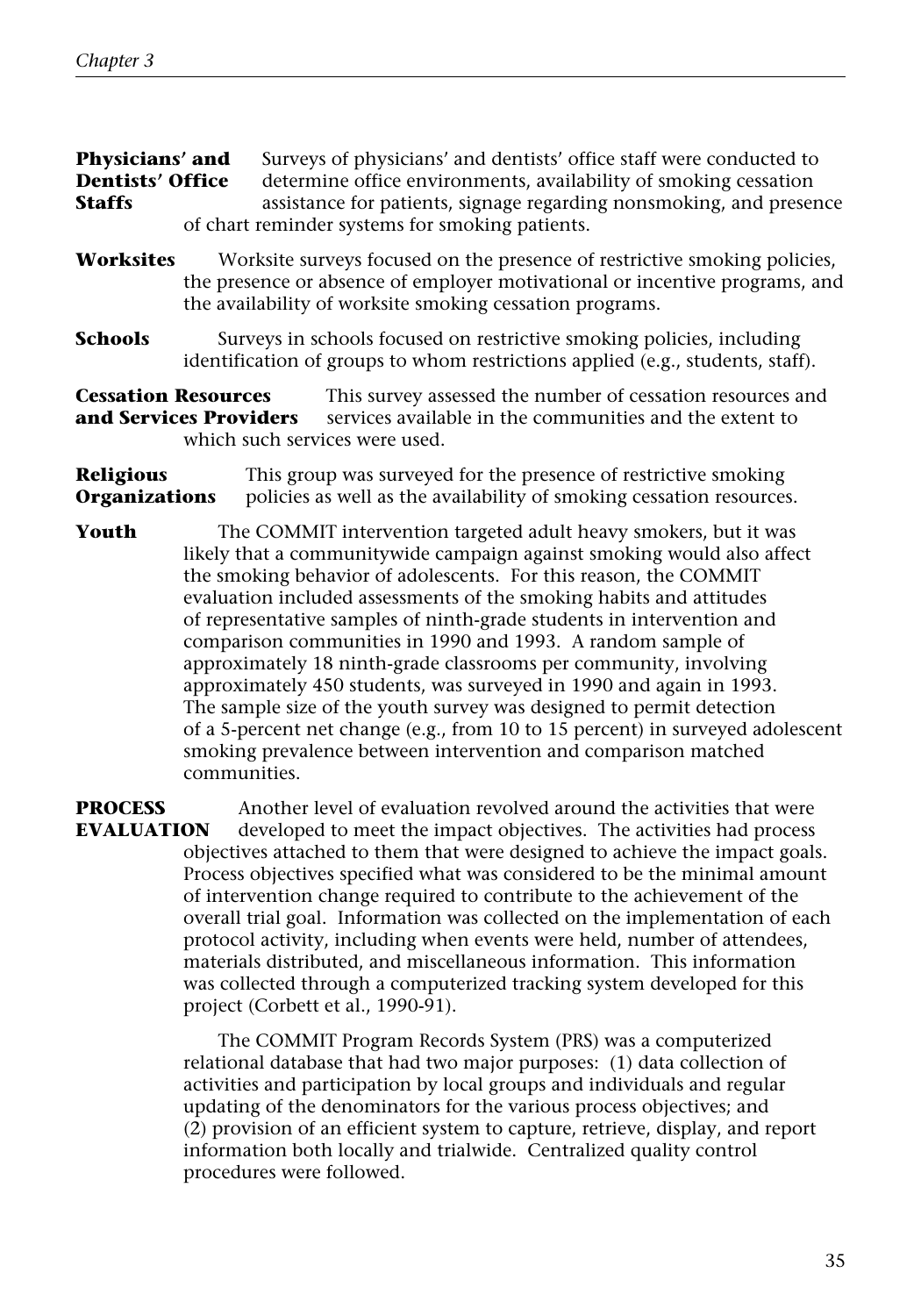| Physicians' and         | Surveys of physicians' and dentists' office staff were conducted to |
|-------------------------|---------------------------------------------------------------------|
| <b>Dentists' Office</b> | determine office environments, availability of smoking cessation    |
| <b>Staffs</b>           | assistance for patients, signage regarding nonsmoking, and presence |
|                         | of chart reminder systems for smoking patients.                     |

- **Worksites** Worksite surveys focused on the presence of restrictive smoking policies, the presence or absence of employer motivational or incentive programs, and the availability of worksite smoking cessation programs.
- **Schools** Surveys in schools focused on restrictive smoking policies, including identification of groups to whom restrictions applied (e.g., students, staff).

**Cessation Resources** This survey assessed the number of cessation resources and **and Services Providers** services available in the communities and the extent to which such services were used.

**Religious** This group was surveyed for the presence of restrictive smoking **Organizations** policies as well as the availability of smoking cessation resources.

**Youth** The COMMIT intervention targeted adult heavy smokers, but it was likely that a communitywide campaign against smoking would also affect the smoking behavior of adolescents. For this reason, the COMMIT evaluation included assessments of the smoking habits and attitudes of representative samples of ninth-grade students in intervention and comparison communities in 1990 and 1993. A random sample of approximately 18 ninth-grade classrooms per community, involving approximately 450 students, was surveyed in 1990 and again in 1993. The sample size of the youth survey was designed to permit detection of a 5-percent net change (e.g., from 10 to 15 percent) in surveyed adolescent smoking prevalence between intervention and comparison matched communities.

**PROCESS** Another level of evaluation revolved around the activities that were **EVALUATION** developed to meet the impact objectives. The activities had process objectives attached to them that were designed to achieve the impact goals. Process objectives specified what was considered to be the minimal amount of intervention change required to contribute to the achievement of the overall trial goal. Information was collected on the implementation of each protocol activity, including when events were held, number of attendees, materials distributed, and miscellaneous information. This information was collected through a computerized tracking system developed for this project (Corbett et al., 1990-91).

> The COMMIT Program Records System (PRS) was a computerized relational database that had two major purposes: (1) data collection of activities and participation by local groups and individuals and regular updating of the denominators for the various process objectives; and (2) provision of an efficient system to capture, retrieve, display, and report information both locally and trialwide. Centralized quality control procedures were followed.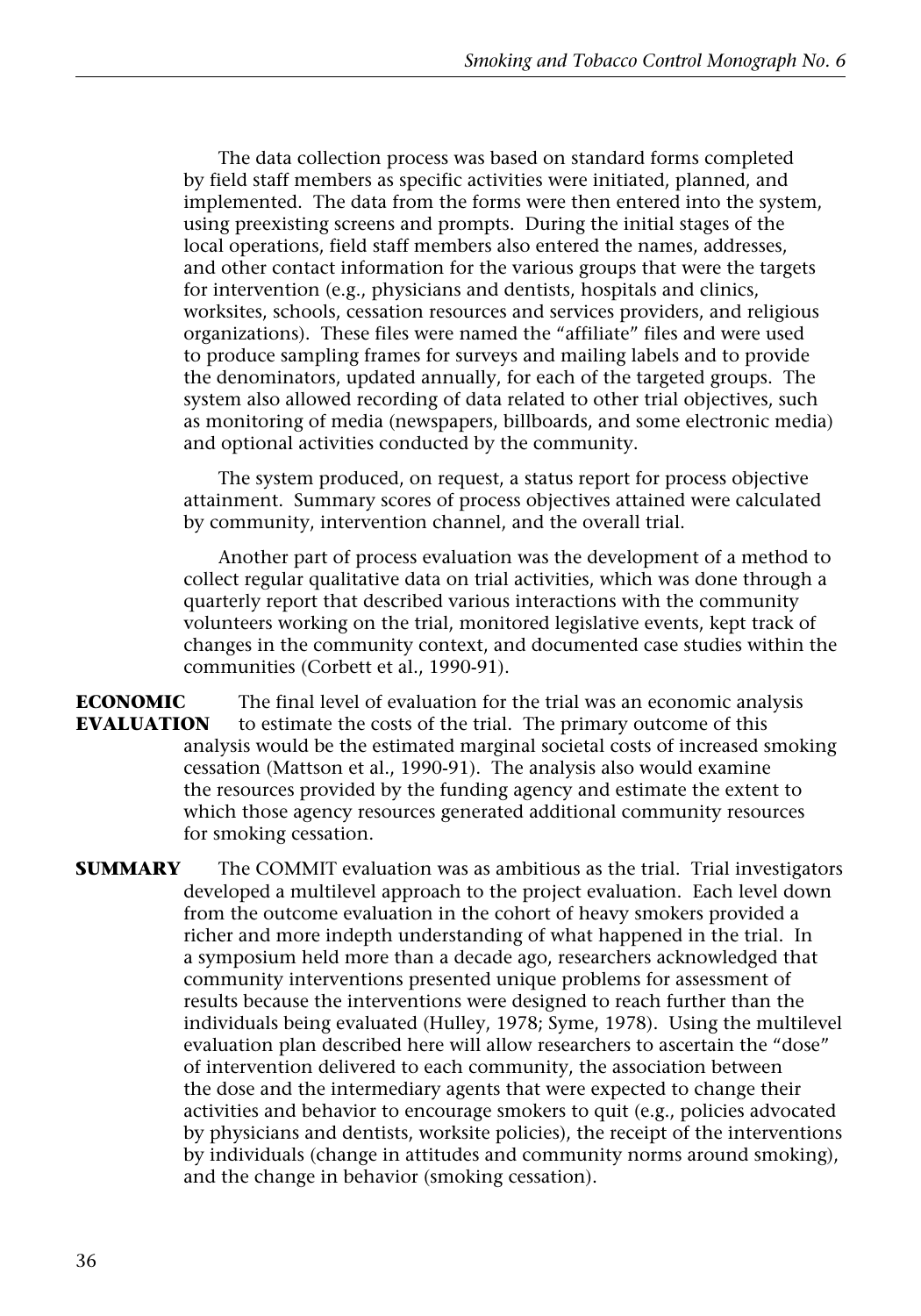The data collection process was based on standard forms completed by field staff members as specific activities were initiated, planned, and implemented. The data from the forms were then entered into the system, using preexisting screens and prompts. During the initial stages of the local operations, field staff members also entered the names, addresses, and other contact information for the various groups that were the targets for intervention (e.g., physicians and dentists, hospitals and clinics, worksites, schools, cessation resources and services providers, and religious organizations). These files were named the "affiliate" files and were used to produce sampling frames for surveys and mailing labels and to provide the denominators, updated annually, for each of the targeted groups. The system also allowed recording of data related to other trial objectives, such as monitoring of media (newspapers, billboards, and some electronic media) and optional activities conducted by the community.

The system produced, on request, a status report for process objective attainment. Summary scores of process objectives attained were calculated by community, intervention channel, and the overall trial.

Another part of process evaluation was the development of a method to collect regular qualitative data on trial activities, which was done through a quarterly report that described various interactions with the community volunteers working on the trial, monitored legislative events, kept track of changes in the community context, and documented case studies within the communities (Corbett et al., 1990-91).

**ECONOMIC** The final level of evaluation for the trial was an economic analysis **EVALUATION** to estimate the costs of the trial. The primary outcome of this analysis would be the estimated marginal societal costs of increased smoking cessation (Mattson et al., 1990-91). The analysis also would examine the resources provided by the funding agency and estimate the extent to which those agency resources generated additional community resources for smoking cessation.

**SUMMARY** The COMMIT evaluation was as ambitious as the trial. Trial investigators developed a multilevel approach to the project evaluation. Each level down from the outcome evaluation in the cohort of heavy smokers provided a richer and more indepth understanding of what happened in the trial. In a symposium held more than a decade ago, researchers acknowledged that community interventions presented unique problems for assessment of results because the interventions were designed to reach further than the individuals being evaluated (Hulley, 1978; Syme, 1978). Using the multilevel evaluation plan described here will allow researchers to ascertain the "dose" of intervention delivered to each community, the association between the dose and the intermediary agents that were expected to change their activities and behavior to encourage smokers to quit (e.g., policies advocated by physicians and dentists, worksite policies), the receipt of the interventions by individuals (change in attitudes and community norms around smoking), and the change in behavior (smoking cessation).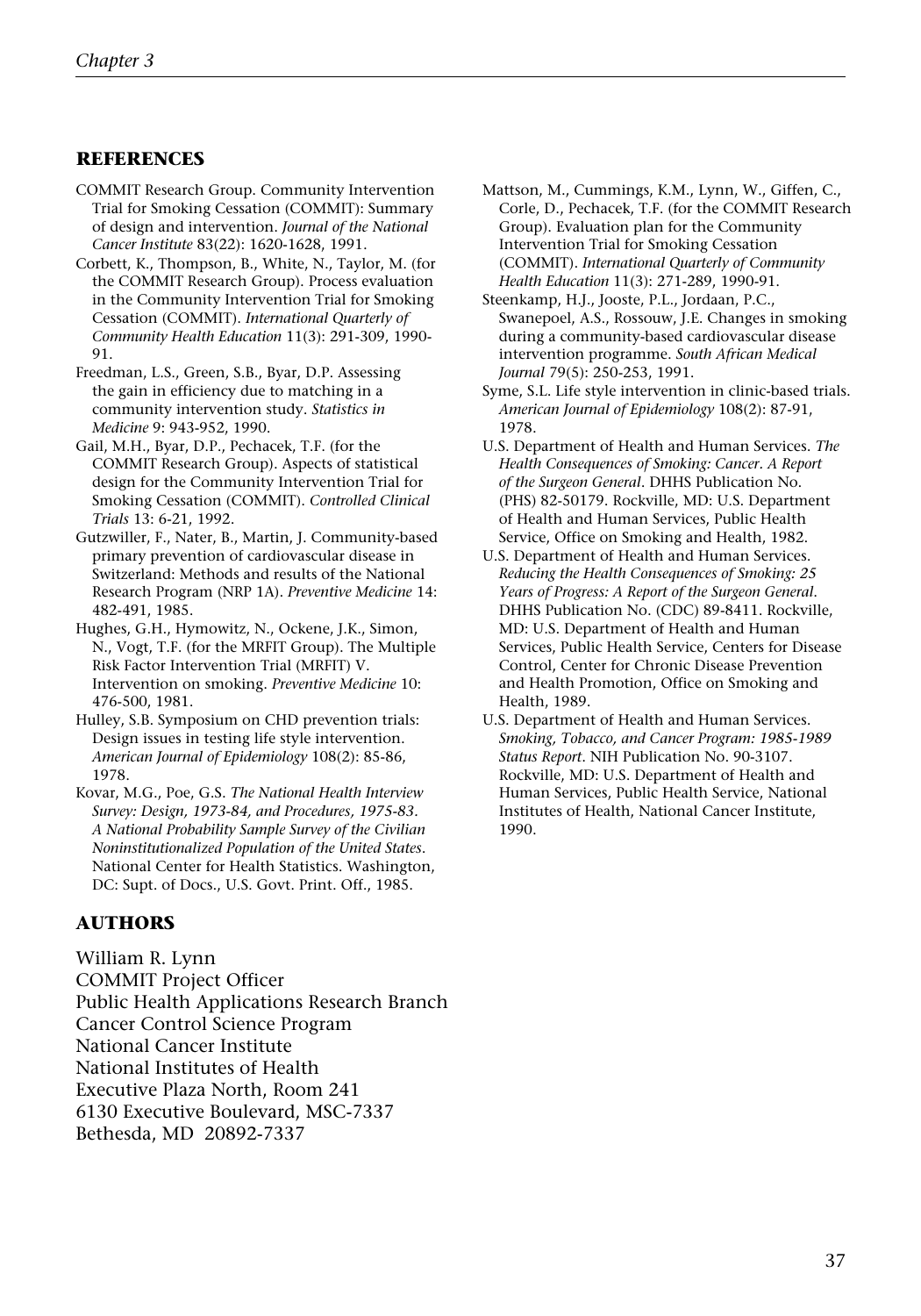### **REFERENCES**

COMMIT Research Group. Community Intervention Trial for Smoking Cessation (COMMIT): Summary of design and intervention. *Journal of the National Cancer Institute* 83(22): 1620-1628, 1991.

Corbett, K., Thompson, B., White, N., Taylor, M. (for the COMMIT Research Group). Process evaluation in the Community Intervention Trial for Smoking Cessation (COMMIT). *International Quarterly of Community Health Education* 11(3): 291-309, 1990- 91.

Freedman, L.S., Green, S.B., Byar, D.P. Assessing the gain in efficiency due to matching in a community intervention study. *Statistics in Medicine* 9: 943-952, 1990.

Gail, M.H., Byar, D.P., Pechacek, T.F. (for the COMMIT Research Group). Aspects of statistical design for the Community Intervention Trial for Smoking Cessation (COMMIT). *Controlled Clinical Trials* 13: 6-21, 1992.

Gutzwiller, F., Nater, B., Martin, J. Community-based primary prevention of cardiovascular disease in Switzerland: Methods and results of the National Research Program (NRP 1A). *Preventive Medicine* 14: 482-491, 1985.

Hughes, G.H., Hymowitz, N., Ockene, J.K., Simon, N., Vogt, T.F. (for the MRFIT Group). The Multiple Risk Factor Intervention Trial (MRFIT) V. Intervention on smoking. *Preventive Medicine* 10: 476-500, 1981.

Hulley, S.B. Symposium on CHD prevention trials: Design issues in testing life style intervention. *American Journal of Epidemiology* 108(2): 85-86, 1978.

Kovar, M.G., Poe, G.S. *The National Health Interview Survey: Design, 1973-84, and Procedures, 1975-83. A National Probability Sample Survey of the Civilian Noninstitutionalized Population of the United States*. National Center for Health Statistics. Washington, DC: Supt. of Docs., U.S. Govt. Print. Off., 1985.

#### **AUTHORS**

William R. Lynn COMMIT Project Officer Public Health Applications Research Branch Cancer Control Science Program National Cancer Institute National Institutes of Health Executive Plaza North, Room 241 6130 Executive Boulevard, MSC-7337 Bethesda, MD 20892-7337

Mattson, M., Cummings, K.M., Lynn, W., Giffen, C., Corle, D., Pechacek, T.F. (for the COMMIT Research Group). Evaluation plan for the Community Intervention Trial for Smoking Cessation (COMMIT). *International Quarterly of Community Health Education* 11(3): 271-289, 1990-91.

Steenkamp, H.J., Jooste, P.L., Jordaan, P.C., Swanepoel, A.S., Rossouw, J.E. Changes in smoking during a community-based cardiovascular disease intervention programme. *South African Medical Journal* 79(5): 250-253, 1991.

Syme, S.L. Life style intervention in clinic-based trials. *American Journal of Epidemiology* 108(2): 87-91, 1978.

U.S. Department of Health and Human Services. *The Health Consequences of Smoking: Cancer. A Report of the Surgeon General*. DHHS Publication No. (PHS) 82-50179. Rockville, MD: U.S. Department of Health and Human Services, Public Health Service, Office on Smoking and Health, 1982.

U.S. Department of Health and Human Services. *Reducing the Health Consequences of Smoking: 25 Years of Progress: A Report of the Surgeon General*. DHHS Publication No. (CDC) 89-8411. Rockville, MD: U.S. Department of Health and Human Services, Public Health Service, Centers for Disease Control, Center for Chronic Disease Prevention and Health Promotion, Office on Smoking and Health, 1989.

U.S. Department of Health and Human Services. *Smoking, Tobacco, and Cancer Program: 1985-1989 Status Report*. NIH Publication No. 90-3107. Rockville, MD: U.S. Department of Health and Human Services, Public Health Service, National Institutes of Health, National Cancer Institute, 1990.